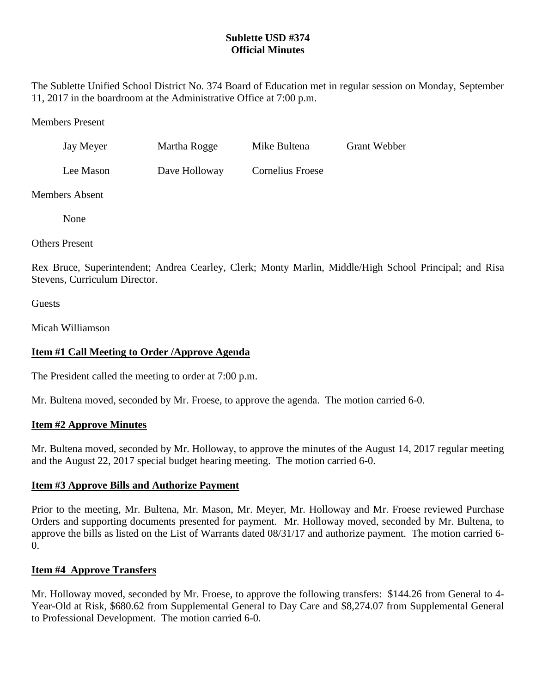## **Sublette USD #374 Official Minutes**

The Sublette Unified School District No. 374 Board of Education met in regular session on Monday, September 11, 2017 in the boardroom at the Administrative Office at 7:00 p.m.

Members Present

| Jay Meyer | Martha Rogge  | Mike Bultena     | <b>Grant Webber</b> |
|-----------|---------------|------------------|---------------------|
| Lee Mason | Dave Holloway | Cornelius Froese |                     |

Members Absent

None

Others Present

Rex Bruce, Superintendent; Andrea Cearley, Clerk; Monty Marlin, Middle/High School Principal; and Risa Stevens, Curriculum Director.

**Guests** 

Micah Williamson

# **Item #1 Call Meeting to Order /Approve Agenda**

The President called the meeting to order at 7:00 p.m.

Mr. Bultena moved, seconded by Mr. Froese, to approve the agenda. The motion carried 6-0.

### **Item #2 Approve Minutes**

Mr. Bultena moved, seconded by Mr. Holloway, to approve the minutes of the August 14, 2017 regular meeting and the August 22, 2017 special budget hearing meeting. The motion carried 6-0.

### **Item #3 Approve Bills and Authorize Payment**

Prior to the meeting, Mr. Bultena, Mr. Mason, Mr. Meyer, Mr. Holloway and Mr. Froese reviewed Purchase Orders and supporting documents presented for payment. Mr. Holloway moved, seconded by Mr. Bultena, to approve the bills as listed on the List of Warrants dated 08/31/17 and authorize payment. The motion carried 6- 0.

### **Item #4 Approve Transfers**

Mr. Holloway moved, seconded by Mr. Froese, to approve the following transfers: \$144.26 from General to 4- Year-Old at Risk, \$680.62 from Supplemental General to Day Care and \$8,274.07 from Supplemental General to Professional Development. The motion carried 6-0.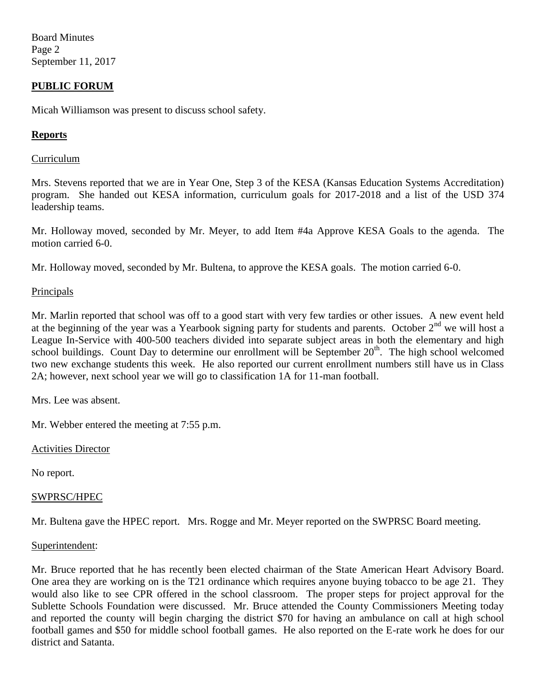Board Minutes Page 2 September 11, 2017

### **PUBLIC FORUM**

Micah Williamson was present to discuss school safety.

### **Reports**

#### Curriculum

Mrs. Stevens reported that we are in Year One, Step 3 of the KESA (Kansas Education Systems Accreditation) program. She handed out KESA information, curriculum goals for 2017-2018 and a list of the USD 374 leadership teams.

Mr. Holloway moved, seconded by Mr. Meyer, to add Item #4a Approve KESA Goals to the agenda. The motion carried 6-0.

Mr. Holloway moved, seconded by Mr. Bultena, to approve the KESA goals. The motion carried 6-0.

#### **Principals**

Mr. Marlin reported that school was off to a good start with very few tardies or other issues. A new event held at the beginning of the year was a Yearbook signing party for students and parents. October  $2<sup>nd</sup>$  we will host a League In-Service with 400-500 teachers divided into separate subject areas in both the elementary and high school buildings. Count Day to determine our enrollment will be September 20<sup>th</sup>. The high school welcomed two new exchange students this week. He also reported our current enrollment numbers still have us in Class 2A; however, next school year we will go to classification 1A for 11-man football.

Mrs. Lee was absent.

Mr. Webber entered the meeting at 7:55 p.m.

Activities Director

No report.

#### SWPRSC/HPEC

Mr. Bultena gave the HPEC report. Mrs. Rogge and Mr. Meyer reported on the SWPRSC Board meeting.

#### Superintendent:

Mr. Bruce reported that he has recently been elected chairman of the State American Heart Advisory Board. One area they are working on is the T21 ordinance which requires anyone buying tobacco to be age 21. They would also like to see CPR offered in the school classroom. The proper steps for project approval for the Sublette Schools Foundation were discussed. Mr. Bruce attended the County Commissioners Meeting today and reported the county will begin charging the district \$70 for having an ambulance on call at high school football games and \$50 for middle school football games. He also reported on the E-rate work he does for our district and Satanta.